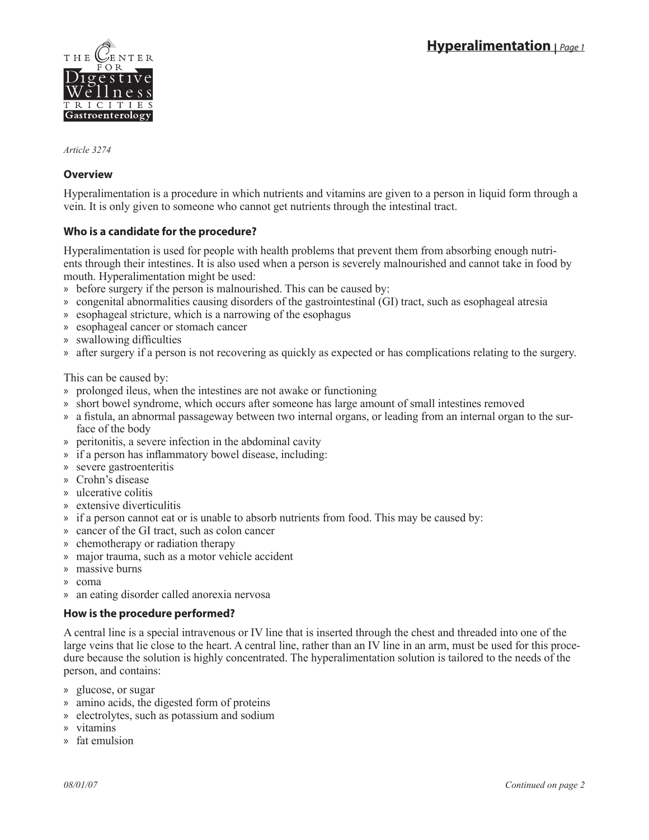

*Article 3274*

# **Overview**

Hyperalimentation is a procedure in which nutrients and vitamins are given to a person in liquid form through a vein. It is only given to someone who cannot get nutrients through the intestinal tract.

# **Who is a candidate for the procedure?**

Hyperalimentation is used for people with health problems that prevent them from absorbing enough nutrients through their intestines. It is also used when a person is severely malnourished and cannot take in food by mouth. Hyperalimentation might be used:

- before surgery if the person is malnourished. This can be caused by: »
- » congenital abnormalities causing disorders of the gastrointestinal (GI) tract, such as esophageal atresia
- » esophageal stricture, which is a narrowing of the esophagus
- » esophageal cancer or stomach cancer
- swallowing difficulties »
- » after surgery if a person is not recovering as quickly as expected or has complications relating to the surgery.

This can be caused by:

- » prolonged ileus, when the intestines are not awake or functioning
- » short bowel syndrome, which occurs after someone has large amount of small intestines removed
- » a fistula, an abnormal passageway between two internal organs, or leading from an internal organ to the surface of the body
- » peritonitis, a severe infection in the abdominal cavity
- » if a person has inflammatory bowel disease, including:
- severe gastroenteritis »
- Crohn's disease »
- ulcerative colitis »
- extensive diverticulitis »
- if a person cannot eat or is unable to absorb nutrients from food. This may be caused by: »
- » cancer of the GI tract, such as colon cancer
- » chemotherapy or radiation therapy
- » major trauma, such as a motor vehicle accident
- massive burns »
- coma »
- » an eating disorder called anorexia nervosa

## **How is the procedure performed?**

A central line is a special intravenous or IV line that is inserted through the chest and threaded into one of the large veins that lie close to the heart. A central line, rather than an IV line in an arm, must be used for this procedure because the solution is highly concentrated. The hyperalimentation solution is tailored to the needs of the person, and contains:

- glucose, or sugar »
- amino acids, the digested form of proteins »
- » electrolytes, such as potassium and sodium
- vitamins »
- fat emulsion »